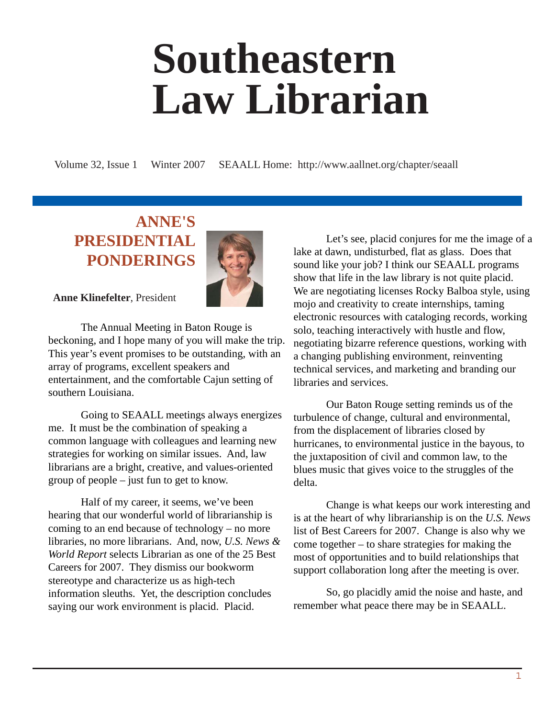# **Southeastern Law Librarian**

Volume 32, Issue 1 Winter 2007 SEAALL Home: http://www.aallnet.org/chapter/seaall

#### **ANNE'S PRESIDENTIAL PONDERINGS**



**Anne Klinefelter**, President

The Annual Meeting in Baton Rouge is beckoning, and I hope many of you will make the trip. This year's event promises to be outstanding, with an array of programs, excellent speakers and entertainment, and the comfortable Cajun setting of southern Louisiana.

Going to SEAALL meetings always energizes me. It must be the combination of speaking a common language with colleagues and learning new strategies for working on similar issues. And, law librarians are a bright, creative, and values-oriented group of people – just fun to get to know.

Half of my career, it seems, we've been hearing that our wonderful world of librarianship is coming to an end because of technology – no more libraries, no more librarians. And, now, *U.S. News & World Report* selects Librarian as one of the 25 Best Careers for 2007. They dismiss our bookworm stereotype and characterize us as high-tech information sleuths. Yet, the description concludes saying our work environment is placid. Placid.

Let's see, placid conjures for me the image of a lake at dawn, undisturbed, flat as glass. Does that sound like your job? I think our SEAALL programs show that life in the law library is not quite placid. We are negotiating licenses Rocky Balboa style, using mojo and creativity to create internships, taming electronic resources with cataloging records, working solo, teaching interactively with hustle and flow, negotiating bizarre reference questions, working with a changing publishing environment, reinventing technical services, and marketing and branding our libraries and services.

Our Baton Rouge setting reminds us of the turbulence of change, cultural and environmental, from the displacement of libraries closed by hurricanes, to environmental justice in the bayous, to the juxtaposition of civil and common law, to the blues music that gives voice to the struggles of the delta.

Change is what keeps our work interesting and is at the heart of why librarianship is on the *U.S. News* list of Best Careers for 2007. Change is also why we come together – to share strategies for making the most of opportunities and to build relationships that support collaboration long after the meeting is over.

So, go placidly amid the noise and haste, and remember what peace there may be in SEAALL.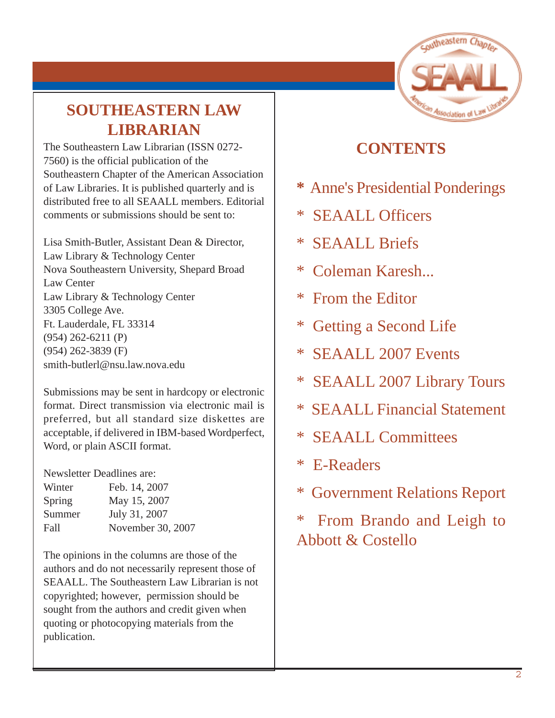

# **SOUTHEASTERN LAW LIBRARIAN**

The Southeastern Law Librarian (ISSN 0272- 7560) is the official publication of the Southeastern Chapter of the American Association of Law Libraries. It is published quarterly and is distributed free to all SEAALL members. Editorial comments or submissions should be sent to:

Lisa Smith-Butler, Assistant Dean & Director, Law Library & Technology Center Nova Southeastern University, Shepard Broad Law Center Law Library & Technology Center 3305 College Ave. Ft. Lauderdale, FL 33314 (954) 262-6211 (P) (954) 262-3839 (F) smith-butlerl@nsu.law.nova.edu

Submissions may be sent in hardcopy or electronic format. Direct transmission via electronic mail is preferred, but all standard size diskettes are acceptable, if delivered in IBM-based Wordperfect, Word, or plain ASCII format.

Newsletter Deadlines are:

| Winter | Feb. 14, 2007     |
|--------|-------------------|
| Spring | May 15, 2007      |
| Summer | July 31, 2007     |
| Fall   | November 30, 2007 |

The opinions in the columns are those of the authors and do not necessarily represent those of SEAALL. The Southeastern Law Librarian is not copyrighted; however, permission should be sought from the authors and credit given when quoting or photocopying materials from the publication.

#### **CONTENTS**

- **\*** Anne's Presidential Ponderings
- \* SEAALL Officers
- \* SEAALL Briefs
- \* Coleman Karesh...
- \* From the Editor
- \* Getting a Second Life
- \* SEAALL 2007 Events
- \* SEAALL 2007 Library Tours
- \* SEAALL Financial Statement
- \* SEAALL Committees
- \* E-Readers
- \* Government Relations Report
- \* From Brando and Leigh to Abbott & Costello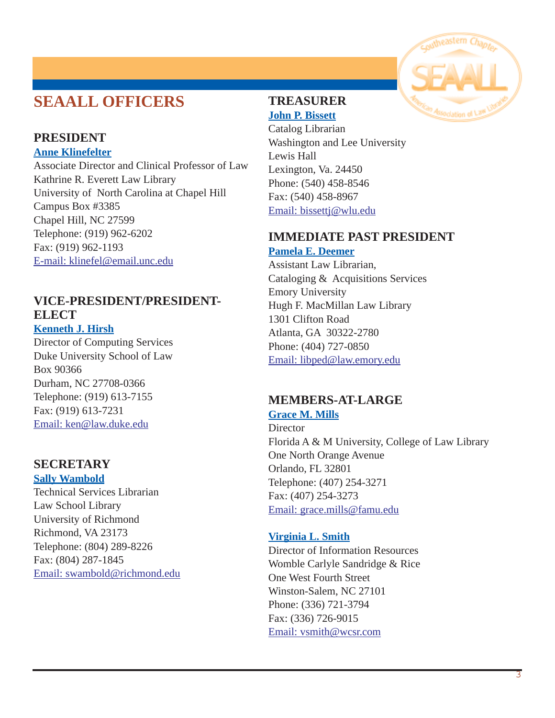### **SEAALL OFFICERS**

#### **PRESIDENT**

**Anne Klinefelter**

Associate Director and Clinical Professor of Law Kathrine R. Everett Law Library University of North Carolina at Chapel Hill Campus Box #3385 Chapel Hill, NC 27599 Telephone: (919) 962-6202 Fax: (919) 962-1193 [E-mail: klinefel@email.unc.edu](mailto:klinefel@email.unc.edu)

#### **VICE-PRESIDENT/PRESIDENT-ELECT**

**Kenneth J. Hirsh**

Director of Computing Services Duke University School of Law Box 90366 Durham, NC 27708-0366 Telephone: (919) 613-7155 Fax: (919) 613-7231 Email: [ken@law.duke.edu](mailto:ken@law.duke.edu)

#### **SECRETARY**

#### **Sally Wambold**

Technical Services Librarian Law School Library University of Richmond Richmond, VA 23173 Telephone: (804) 289-8226 Fax: (804) 287-1845 [Email: swambold@richmond.edu](mailto:swambold@richmond.edu)



#### **TREASURER John P. Bissett**

Catalog Librarian Washington and Lee University Lewis Hall Lexington, Va. 24450 Phone: (540) 458-8546 Fax: (540) 458-8967 [Email: bissettj@wlu.edu](mailto:bissettj@wlu.edu)

#### **IMMEDIATE PAST PRESIDENT Pamela E. Deemer**

Assistant Law Librarian, Cataloging & Acquisitions Services Emory University Hugh F. MacMillan Law Library 1301 Clifton Road Atlanta, GA 30322-2780 Phone: (404) 727-0850 [Email: libped@law.emory.edu](mailto:libped@law.emory.edu)

#### **MEMBERS-AT-LARGE**

**Grace M. Mills**

**Director** Florida A & M University, College of Law Library One North Orange Avenue Orlando, FL 32801 Telephone: (407) 254-3271 Fax: (407) 254-3273 Email: [grace.mills@famu.edu](mailto:grace.mills@famu.edu)

#### **Virginia L. Smith**

Director of Information Resources Womble Carlyle Sandridge & Rice One West Fourth Street Winston-Salem, NC 27101 Phone: (336) 721-3794 Fax: (336) 726-9015 [Email: vsmith@wcsr.com](mailto:vsmith@wcsr.com)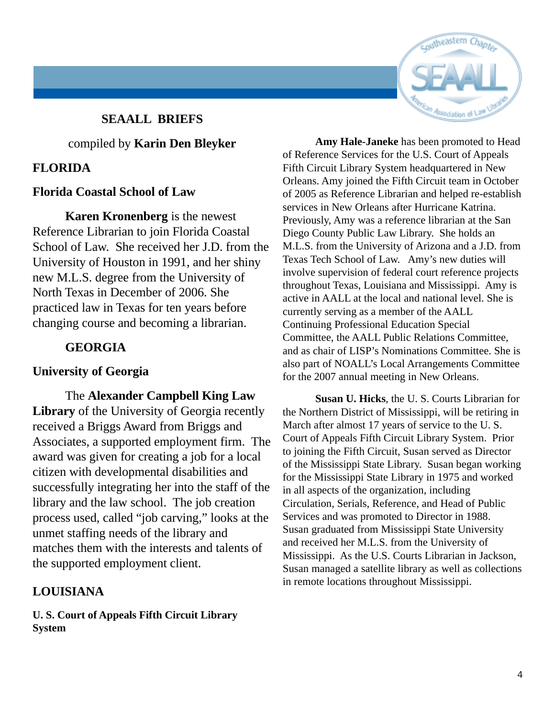#### **SEAALL BRIEFS**

#### compiled by **Karin Den Bleyker**

#### **FLORIDA**

#### **Florida Coastal School of Law**

**Karen Kronenberg** is the newest Reference Librarian to join Florida Coastal School of Law. She received her J.D. from the University of Houston in 1991, and her shiny new M.L.S. degree from the University of North Texas in December of 2006. She practiced law in Texas for ten years before changing course and becoming a librarian.

#### **GEORGIA**

#### **University of Georgia**

The **Alexander Campbell King Law Library** of the University of Georgia recently received a Briggs Award from Briggs and Associates, a supported employment firm. The award was given for creating a job for a local citizen with developmental disabilities and successfully integrating her into the staff of the library and the law school. The job creation process used, called "job carving," looks at the unmet staffing needs of the library and matches them with the interests and talents of the supported employment client.

#### **LOUISIANA**

**U. S. Court of Appeals Fifth Circuit Library System**



**Amy Hale-Janeke** has been promoted to Head of Reference Services for the U.S. Court of Appeals Fifth Circuit Library System headquartered in New Orleans. Amy joined the Fifth Circuit team in October of 2005 as Reference Librarian and helped re-establish services in New Orleans after Hurricane Katrina. Previously, Amy was a reference librarian at the San Diego County Public Law Library. She holds an M.L.S. from the University of Arizona and a J.D. from Texas Tech School of Law. Amy's new duties will involve supervision of federal court reference projects throughout Texas, Louisiana and Mississippi. Amy is active in AALL at the local and national level. She is currently serving as a member of the AALL Continuing Professional Education Special Committee, the AALL Public Relations Committee, and as chair of LISP's Nominations Committee. She is also part of NOALL's Local Arrangements Committee for the 2007 annual meeting in New Orleans.

**Susan U. Hicks**, the U. S. Courts Librarian for the Northern District of Mississippi, will be retiring in March after almost 17 years of service to the U. S. Court of Appeals Fifth Circuit Library System. Prior to joining the Fifth Circuit, Susan served as Director of the Mississippi State Library. Susan began working for the Mississippi State Library in 1975 and worked in all aspects of the organization, including Circulation, Serials, Reference, and Head of Public Services and was promoted to Director in 1988. Susan graduated from Mississippi State University and received her M.L.S. from the University of Mississippi. As the U.S. Courts Librarian in Jackson, Susan managed a satellite library as well as collections in remote locations throughout Mississippi.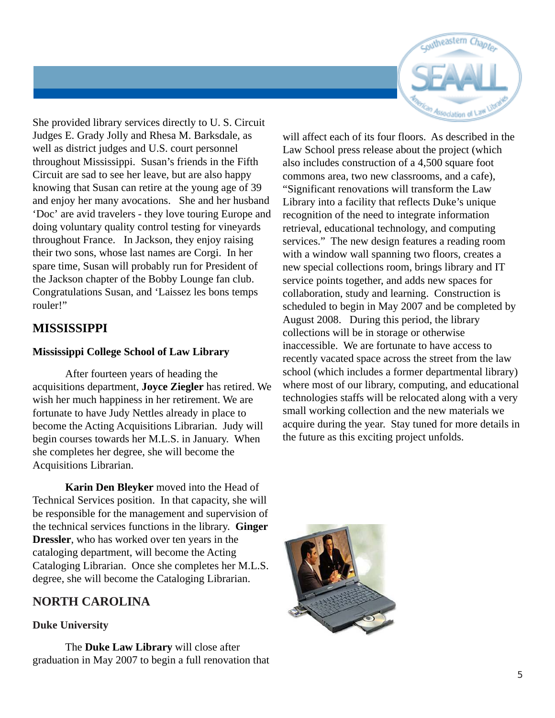

She provided library services directly to U. S. Circuit Judges E. Grady Jolly and Rhesa M. Barksdale, as well as district judges and U.S. court personnel throughout Mississippi. Susan's friends in the Fifth Circuit are sad to see her leave, but are also happy knowing that Susan can retire at the young age of 39 and enjoy her many avocations. She and her husband 'Doc' are avid travelers - they love touring Europe and doing voluntary quality control testing for vineyards throughout France. In Jackson, they enjoy raising their two sons, whose last names are Corgi. In her spare time, Susan will probably run for President of the Jackson chapter of the Bobby Lounge fan club. Congratulations Susan, and 'Laissez les bons temps rouler!"

#### **MISSISSIPPI**

#### **Mississippi College School of Law Library**

After fourteen years of heading the acquisitions department, **Joyce Ziegler** has retired. We wish her much happiness in her retirement. We are fortunate to have Judy Nettles already in place to become the Acting Acquisitions Librarian. Judy will begin courses towards her M.L.S. in January. When she completes her degree, she will become the Acquisitions Librarian.

**Karin Den Bleyker** moved into the Head of Technical Services position. In that capacity, she will be responsible for the management and supervision of the technical services functions in the library. **Ginger Dressler**, who has worked over ten years in the cataloging department, will become the Acting Cataloging Librarian. Once she completes her M.L.S. degree, she will become the Cataloging Librarian.

#### **NORTH CAROLINA**

#### **Duke University**

The **Duke Law Library** will close after graduation in May 2007 to begin a full renovation that

will affect each of its four floors. As described in the Law School press release about the project (which also includes construction of a 4,500 square foot commons area, two new classrooms, and a cafe), "Significant renovations will transform the Law Library into a facility that reflects Duke's unique recognition of the need to integrate information retrieval, educational technology, and computing services." The new design features a reading room with a window wall spanning two floors, creates a new special collections room, brings library and IT service points together, and adds new spaces for collaboration, study and learning. Construction is scheduled to begin in May 2007 and be completed by August 2008. During this period, the library collections will be in storage or otherwise inaccessible. We are fortunate to have access to recently vacated space across the street from the law school (which includes a former departmental library) where most of our library, computing, and educational technologies staffs will be relocated along with a very small working collection and the new materials we acquire during the year. Stay tuned for more details in the future as this exciting project unfolds.

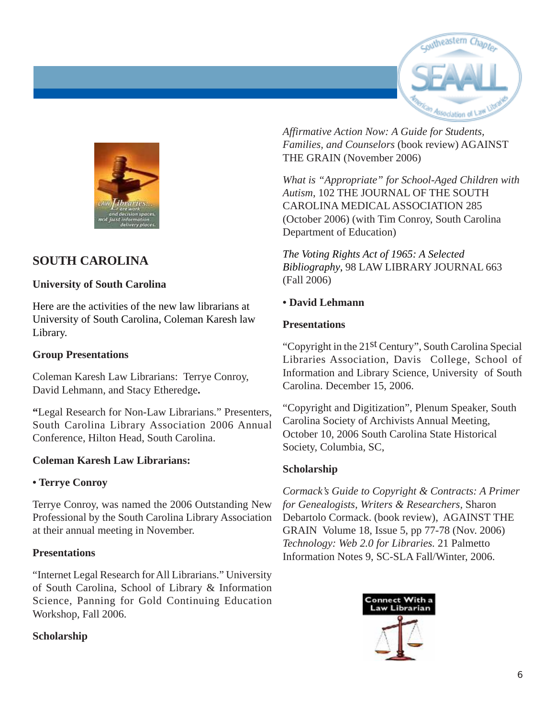



#### **SOUTH CAROLINA**

#### **University of South Carolina**

Here are the activities of the new law librarians at University of South Carolina, Coleman Karesh law Library.

#### **Group Presentations**

Coleman Karesh Law Librarians: Terrye Conroy, David Lehmann, and Stacy Etheredge**.**

**"**Legal Research for Non-Law Librarians." Presenters, South Carolina Library Association 2006 Annual Conference, Hilton Head, South Carolina.

#### **Coleman Karesh Law Librarians:**

#### **• Terrye Conroy**

Terrye Conroy, was named the 2006 Outstanding New Professional by the South Carolina Library Association at their annual meeting in November.

#### **Presentations**

"Internet Legal Research for All Librarians." University of South Carolina, School of Library & Information Science, Panning for Gold Continuing Education Workshop, Fall 2006.

#### **Scholarship**

*Affirmative Action Now: A Guide for Students, Families, and Counselors* (book review) AGAINST THE GRAIN (November 2006)

*What is "Appropriate" for School-Aged Children with Autism*, 102 THE JOURNAL OF THE SOUTH CAROLINA MEDICAL ASSOCIATION 285 (October 2006) (with Tim Conroy, South Carolina Department of Education)

*The Voting Rights Act of 1965: A Selected Bibliography*, 98 LAW LIBRARY JOURNAL 663 (Fall 2006)

#### **• David Lehmann**

#### **Presentations**

"Copyright in the 21st Century", South Carolina Special Libraries Association, Davis College, School of Information and Library Science, University of South Carolina. December 15, 2006.

"Copyright and Digitization", Plenum Speaker, South Carolina Society of Archivists Annual Meeting, October 10, 2006 South Carolina State Historical Society, Columbia, SC,

#### **Scholarship**

*Cormack's Guide to Copyright & Contracts: A Primer for Genealogists, Writers & Researchers,* Sharon Debartolo Cormack. (book review), AGAINST THE GRAIN Volume 18, Issue 5, pp 77-78 (Nov. 2006) *Technology: Web 2.0 for Libraries.* 21 Palmetto Information Notes 9, SC-SLA Fall/Winter, 2006.

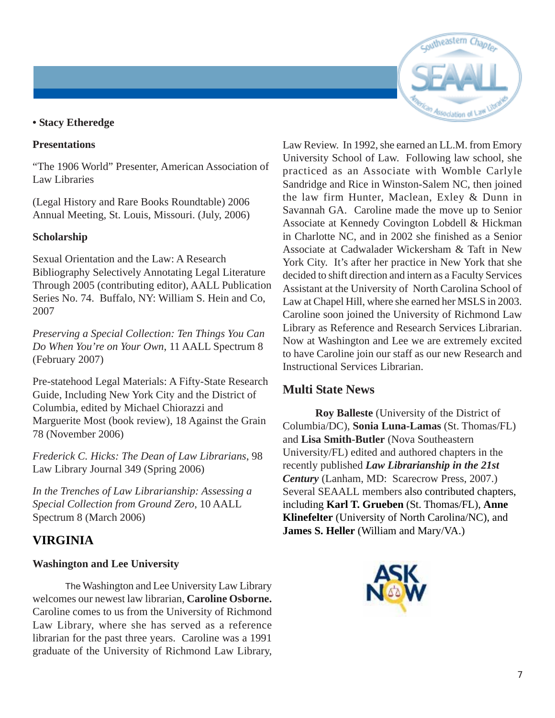# outheastern

#### **• Stacy Etheredge**

#### **Presentations**

"The 1906 World" Presenter, American Association of Law Libraries

(Legal History and Rare Books Roundtable) 2006 Annual Meeting, St. Louis, Missouri. (July, 2006)

#### **Scholarship**

Sexual Orientation and the Law: A Research Bibliography Selectively Annotating Legal Literature Through 2005 (contributing editor), AALL Publication Series No. 74. Buffalo, NY: William S. Hein and Co, 2007

*Preserving a Special Collection: Ten Things You Can Do When You're on Your Own*, 11 AALL Spectrum 8 (February 2007)

Pre-statehood Legal Materials: A Fifty-State Research Guide, Including New York City and the District of Columbia, edited by Michael Chiorazzi and Marguerite Most (book review), 18 Against the Grain 78 (November 2006)

*Frederick C. Hicks: The Dean of Law Librarians*, 98 Law Library Journal 349 (Spring 2006)

*In the Trenches of Law Librarianship: Assessing a Special Collection from Ground Zero*, 10 AALL Spectrum 8 (March 2006)

#### **VIRGINIA**

#### **Washington and Lee University**

The Washington and Lee University Law Library welcomes our newest law librarian, **Caroline Osborne.** Caroline comes to us from the University of Richmond Law Library, where she has served as a reference librarian for the past three years. Caroline was a 1991 graduate of the University of Richmond Law Library, Law Review. In 1992, she earned an LL.M. from Emory University School of Law. Following law school, she practiced as an Associate with Womble Carlyle Sandridge and Rice in Winston-Salem NC, then joined the law firm Hunter, Maclean, Exley & Dunn in Savannah GA. Caroline made the move up to Senior Associate at Kennedy Covington Lobdell & Hickman in Charlotte NC, and in 2002 she finished as a Senior Associate at Cadwalader Wickersham & Taft in New York City. It's after her practice in New York that she decided to shift direction and intern as a Faculty Services Assistant at the University of North Carolina School of Law at Chapel Hill, where she earned her MSLS in 2003. Caroline soon joined the University of Richmond Law Library as Reference and Research Services Librarian. Now at Washington and Lee we are extremely excited to have Caroline join our staff as our new Research and Instructional Services Librarian.

#### **Multi State News**

**Roy Balleste** (University of the District of Columbia/DC), **Sonia Luna-Lamas** (St. Thomas/FL) and **Lisa Smith-Butler** (Nova Southeastern University/FL) edited and authored chapters in the recently published *Law Librarianship in the 21st Century* (Lanham, MD: Scarecrow Press, 2007.) Several SEAALL members also contributed chapters, including **Karl T. Grueben** (St. Thomas/FL), **Anne Klinefelter** (University of North Carolina/NC), and **James S. Heller** (William and Mary/VA.)

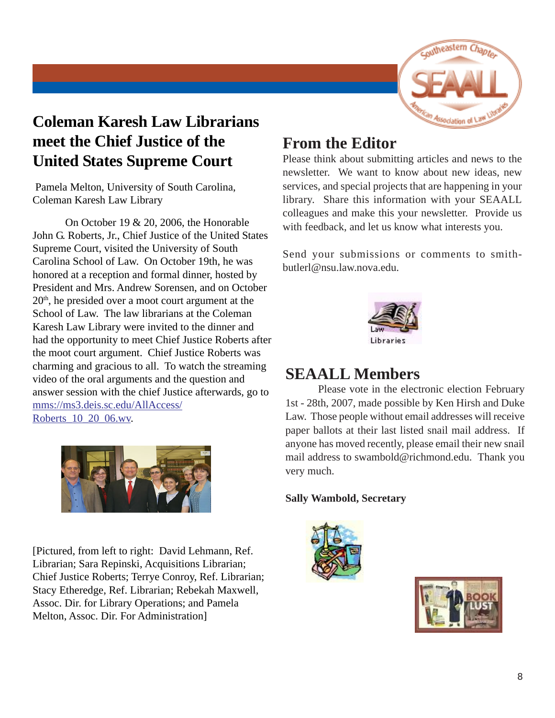

# **Coleman Karesh Law Librarians meet the Chief Justice of the United States Supreme Court**

 Pamela Melton, University of South Carolina, Coleman Karesh Law Library

On October 19 & 20, 2006, the Honorable John G. Roberts, Jr., Chief Justice of the United States Supreme Court, visited the University of South Carolina School of Law. On October 19th, he was honored at a reception and formal dinner, hosted by President and Mrs. Andrew Sorensen, and on October  $20<sup>th</sup>$ , he presided over a moot court argument at the School of Law. The law librarians at the Coleman Karesh Law Library were invited to the dinner and had the opportunity to meet Chief Justice Roberts after the moot court argument. Chief Justice Roberts was charming and gracious to all. To watch the streaming video of the oral arguments and the question and answer session with the chief Justice afterwards, go to mms://ms3.deis.sc.edu/AllAccess/ Roberts\_10\_20\_06.wv.



[Pictured, from left to right: David Lehmann, Ref. Librarian; Sara Repinski, Acquisitions Librarian; Chief Justice Roberts; Terrye Conroy, Ref. Librarian; Stacy Etheredge, Ref. Librarian; Rebekah Maxwell, Assoc. Dir. for Library Operations; and Pamela Melton, Assoc. Dir. For Administration]

#### **From the Editor**

Please think about submitting articles and news to the newsletter. We want to know about new ideas, new services, and special projects that are happening in your library. Share this information with your SEAALL colleagues and make this your newsletter. Provide us with feedback, and let us know what interests you.

Send your submissions or comments to smithbutlerl@nsu.law.nova.edu.



#### **SEAALL Members**

Please vote in the electronic election February 1st - 28th, 2007, made possible by Ken Hirsh and Duke Law. Those people without email addresses will receive paper ballots at their last listed snail mail address. If anyone has moved recently, please email their new snail mail address to swambold@richmond.edu. Thank you very much.

#### **Sally Wambold, Secretary**



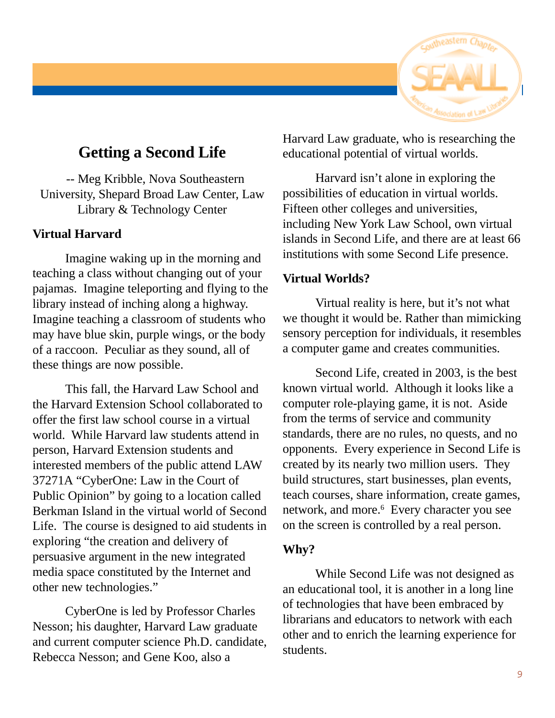

#### **Getting a Second Life**

 -- Meg Kribble, Nova Southeastern University, Shepard Broad Law Center, Law Library & Technology Center

#### **Virtual Harvard**

Imagine waking up in the morning and teaching a class without changing out of your pajamas. Imagine teleporting and flying to the library instead of inching along a highway. Imagine teaching a classroom of students who may have blue skin, purple wings, or the body of a raccoon. Peculiar as they sound, all of these things are now possible.

This fall, the Harvard Law School and the Harvard Extension School collaborated to offer the first law school course in a virtual world. While Harvard law students attend in person, Harvard Extension students and interested members of the public attend LAW 37271A "CyberOne: Law in the Court of Public Opinion" by going to a location called Berkman Island in the virtual world of Second Life. The course is designed to aid students in exploring "the creation and delivery of persuasive argument in the new integrated media space constituted by the Internet and other new technologies."

CyberOne is led by Professor Charles Nesson; his daughter, Harvard Law graduate and current computer science Ph.D. candidate, Rebecca Nesson; and Gene Koo, also a

Harvard Law graduate, who is researching the educational potential of virtual worlds.

Harvard isn't alone in exploring the possibilities of education in virtual worlds. Fifteen other colleges and universities, including New York Law School, own virtual islands in Second Life, and there are at least 66 institutions with some Second Life presence.

#### **Virtual Worlds?**

Virtual reality is here, but it's not what we thought it would be. Rather than mimicking sensory perception for individuals, it resembles a computer game and creates communities.

Second Life, created in 2003, is the best known virtual world. Although it looks like a computer role-playing game, it is not. Aside from the terms of service and community standards, there are no rules, no quests, and no opponents. Every experience in Second Life is created by its nearly two million users. They build structures, start businesses, plan events, teach courses, share information, create games, network, and more.<sup>6</sup> Every character you see on the screen is controlled by a real person.

#### **Why?**

While Second Life was not designed as an educational tool, it is another in a long line of technologies that have been embraced by librarians and educators to network with each other and to enrich the learning experience for students.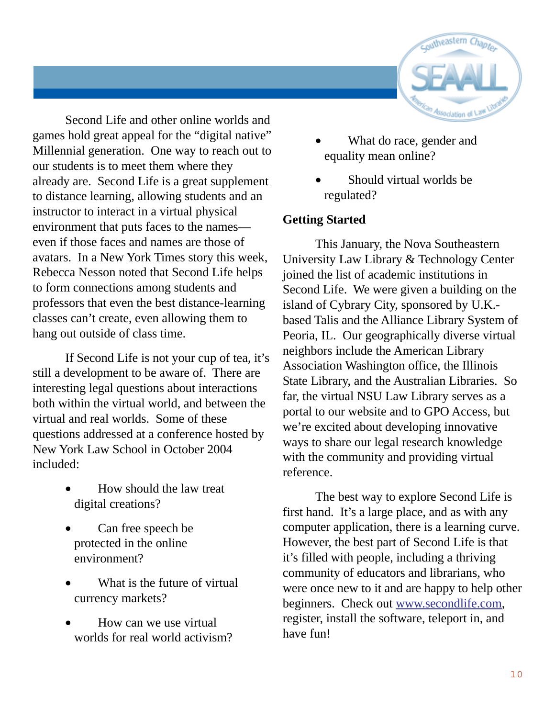

Second Life and other online worlds and games hold great appeal for the "digital native" Millennial generation. One way to reach out to our students is to meet them where they already are. Second Life is a great supplement to distance learning, allowing students and an instructor to interact in a virtual physical environment that puts faces to the names even if those faces and names are those of avatars. In a New York Times story this week, Rebecca Nesson noted that Second Life helps to form connections among students and professors that even the best distance-learning classes can't create, even allowing them to hang out outside of class time.

If Second Life is not your cup of tea, it's still a development to be aware of. There are interesting legal questions about interactions both within the virtual world, and between the virtual and real worlds. Some of these questions addressed at a conference hosted by New York Law School in October 2004 included:

- How should the law treat digital creations?
- Can free speech be protected in the online environment?
- What is the future of virtual currency markets?
- How can we use virtual worlds for real world activism?
- What do race, gender and equality mean online?
- Should virtual worlds be regulated?

#### **Getting Started**

This January, the Nova Southeastern University Law Library & Technology Center joined the list of academic institutions in Second Life. We were given a building on the island of Cybrary City, sponsored by U.K. based Talis and the Alliance Library System of Peoria, IL. Our geographically diverse virtual neighbors include the American Library Association Washington office, the Illinois State Library, and the Australian Libraries. So far, the virtual NSU Law Library serves as a portal to our website and to GPO Access, but we're excited about developing innovative ways to share our legal research knowledge with the community and providing virtual reference.

The best way to explore Second Life is first hand. It's a large place, and as with any computer application, there is a learning curve. However, the best part of Second Life is that it's filled with people, including a thriving community of educators and librarians, who were once new to it and are happy to help other beginners. Check out www.secondlife.com, register, install the software, teleport in, and have fun!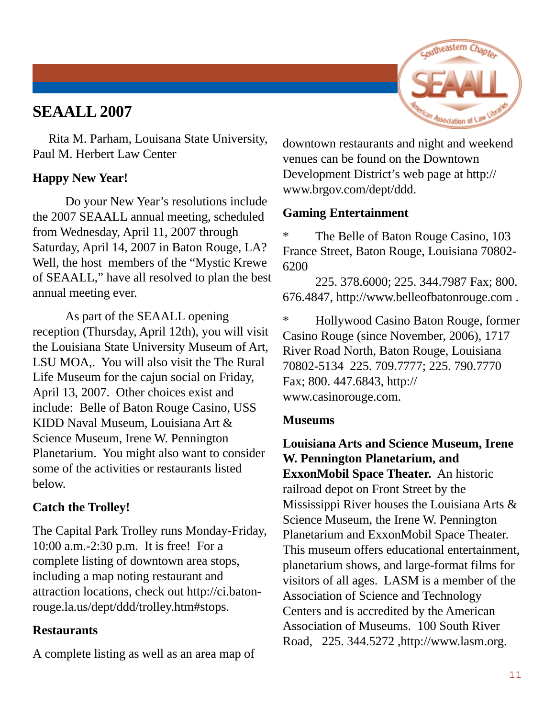#### **SEAALL 2007**



 Rita M. Parham, Louisana State University, Paul M. Herbert Law Center

#### **Happy New Year!**

Do your New Year's resolutions include the 2007 SEAALL annual meeting, scheduled from Wednesday, April 11, 2007 through Saturday, April 14, 2007 in Baton Rouge, LA? Well, the host members of the "Mystic Krewe of SEAALL," have all resolved to plan the best annual meeting ever.

As part of the SEAALL opening reception (Thursday, April 12th), you will visit the Louisiana State University Museum of Art, LSU MOA,. You will also visit the The Rural Life Museum for the cajun social on Friday, April 13, 2007. Other choices exist and include: Belle of Baton Rouge Casino, USS KIDD Naval Museum, Louisiana Art & Science Museum, Irene W. Pennington Planetarium. You might also want to consider some of the activities or restaurants listed below.

#### **Catch the Trolley!**

The Capital Park Trolley runs Monday-Friday, 10:00 a.m.-2:30 p.m. It is free! For a complete listing of downtown area stops, including a map noting restaurant and attraction locations, check out http://ci.batonrouge.la.us/dept/ddd/trolley.htm#stops.

#### **Restaurants**

A complete listing as well as an area map of

downtown restaurants and night and weekend venues can be found on the Downtown Development District's web page at http:// www.brgov.com/dept/ddd.

#### **Gaming Entertainment**

\* The Belle of Baton Rouge Casino, 103 France Street, Baton Rouge, Louisiana 70802- 6200

225. 378.6000; 225. 344.7987 Fax; 800. 676.4847, http://www.belleofbatonrouge.com .

\* Hollywood Casino Baton Rouge, former Casino Rouge (since November, 2006), 1717 River Road North, Baton Rouge, Louisiana 70802-5134 225. 709.7777; 225. 790.7770 Fax; 800. 447.6843, http:// www.casinorouge.com.

#### **Museums**

**Louisiana Arts and Science Museum, Irene W. Pennington Planetarium, and ExxonMobil Space Theater.** An historic railroad depot on Front Street by the Mississippi River houses the Louisiana Arts & Science Museum, the Irene W. Pennington Planetarium and ExxonMobil Space Theater. This museum offers educational entertainment, planetarium shows, and large-format films for visitors of all ages. LASM is a member of the Association of Science and Technology Centers and is accredited by the American Association of Museums. 100 South River Road, 225. 344.5272 ,http://www.lasm.org.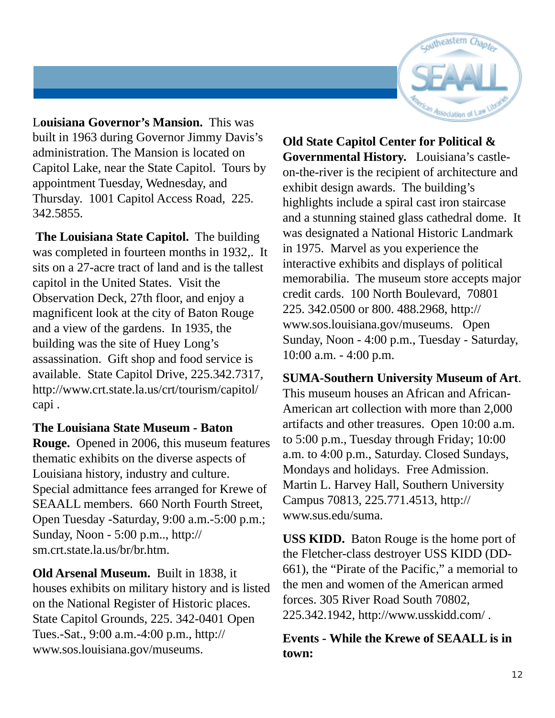

L**ouisiana Governor's Mansion.** This was built in 1963 during Governor Jimmy Davis's administration. The Mansion is located on Capitol Lake, near the State Capitol. Tours by appointment Tuesday, Wednesday, and Thursday. 1001 Capitol Access Road, 225. 342.5855.

 **The Louisiana State Capitol.** The building was completed in fourteen months in 1932,. It sits on a 27-acre tract of land and is the tallest capitol in the United States. Visit the Observation Deck, 27th floor, and enjoy a magnificent look at the city of Baton Rouge and a view of the gardens. In 1935, the building was the site of Huey Long's assassination. Gift shop and food service is available. State Capitol Drive, 225.342.7317, http://www.crt.state.la.us/crt/tourism/capitol/ capi .

#### **The Louisiana State Museum - Baton**

**Rouge.** Opened in 2006, this museum features thematic exhibits on the diverse aspects of Louisiana history, industry and culture. Special admittance fees arranged for Krewe of SEAALL members. 660 North Fourth Street, Open Tuesday -Saturday, 9:00 a.m.-5:00 p.m.; Sunday, Noon - 5:00 p.m.., http:// sm.crt.state.la.us/br/br.htm.

**Old Arsenal Museum.** Built in 1838, it houses exhibits on military history and is listed on the National Register of Historic places. State Capitol Grounds, 225. 342-0401 Open Tues.-Sat., 9:00 a.m.-4:00 p.m., http:// www.sos.louisiana.gov/museums.

**Old State Capitol Center for Political & Governmental History.** Louisiana's castleon-the-river is the recipient of architecture and exhibit design awards. The building's highlights include a spiral cast iron staircase and a stunning stained glass cathedral dome. It was designated a National Historic Landmark in 1975. Marvel as you experience the interactive exhibits and displays of political memorabilia. The museum store accepts major credit cards. 100 North Boulevard, 70801 225. 342.0500 or 800. 488.2968, http:// www.sos.louisiana.gov/museums. Open Sunday, Noon - 4:00 p.m., Tuesday - Saturday, 10:00 a.m. - 4:00 p.m.

**SUMA-Southern University Museum of Art**. This museum houses an African and African-American art collection with more than 2,000 artifacts and other treasures. Open 10:00 a.m. to 5:00 p.m., Tuesday through Friday; 10:00 a.m. to 4:00 p.m., Saturday. Closed Sundays, Mondays and holidays. Free Admission. Martin L. Harvey Hall, Southern University Campus 70813, 225.771.4513, http:// www.sus.edu/suma.

**USS KIDD.** Baton Rouge is the home port of the Fletcher-class destroyer USS KIDD (DD-661), the "Pirate of the Pacific," a memorial to the men and women of the American armed forces. 305 River Road South 70802, 225.342.1942, http://www.usskidd.com/ .

**Events - While the Krewe of SEAALL is in town:**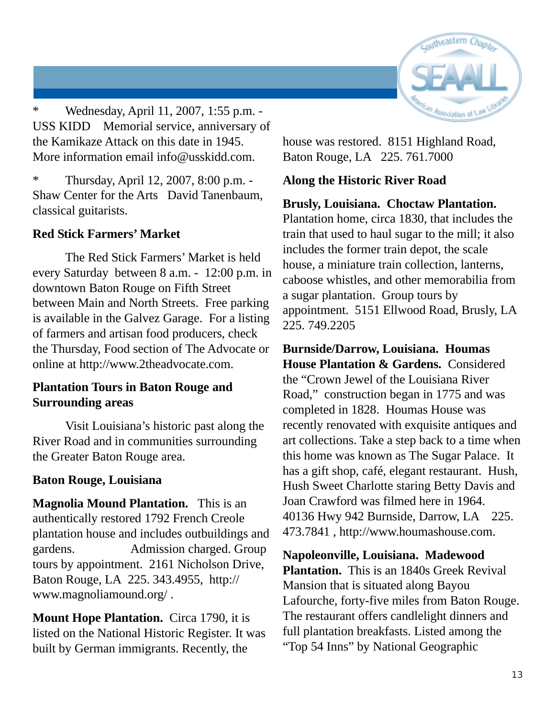

\* Wednesday, April 11, 2007, 1:55 p.m. - USS KIDD Memorial service, anniversary of the Kamikaze Attack on this date in 1945. More information email info@usskidd.com.

\* Thursday, April 12, 2007, 8:00 p.m. - Shaw Center for the Arts David Tanenbaum, classical guitarists.

#### **Red Stick Farmers' Market**

The Red Stick Farmers' Market is held every Saturday between 8 a.m. - 12:00 p.m. in downtown Baton Rouge on Fifth Street between Main and North Streets. Free parking is available in the Galvez Garage. For a listing of farmers and artisan food producers, check the Thursday, Food section of The Advocate or online at http://www.2theadvocate.com.

#### **Plantation Tours in Baton Rouge and Surrounding areas**

Visit Louisiana's historic past along the River Road and in communities surrounding the Greater Baton Rouge area.

#### **Baton Rouge, Louisiana**

**Magnolia Mound Plantation.** This is an authentically restored 1792 French Creole plantation house and includes outbuildings and gardens. Admission charged. Group tours by appointment. 2161 Nicholson Drive, Baton Rouge, LA 225. 343.4955, http:// www.magnoliamound.org/ .

**Mount Hope Plantation.** Circa 1790, it is listed on the National Historic Register. It was built by German immigrants. Recently, the

house was restored. 8151 Highland Road, Baton Rouge, LA 225. 761.7000

#### **Along the Historic River Road**

#### **Brusly, Louisiana. Choctaw Plantation.**

Plantation home, circa 1830, that includes the train that used to haul sugar to the mill; it also includes the former train depot, the scale house, a miniature train collection, lanterns, caboose whistles, and other memorabilia from a sugar plantation. Group tours by appointment. 5151 Ellwood Road, Brusly, LA 225. 749.2205

**Burnside/Darrow, Louisiana. Houmas House Plantation & Gardens.** Considered the "Crown Jewel of the Louisiana River Road," construction began in 1775 and was completed in 1828. Houmas House was recently renovated with exquisite antiques and art collections. Take a step back to a time when this home was known as The Sugar Palace. It has a gift shop, café, elegant restaurant. Hush, Hush Sweet Charlotte staring Betty Davis and Joan Crawford was filmed here in 1964. 40136 Hwy 942 Burnside, Darrow, LA 225. 473.7841 , http://www.houmashouse.com.

**Napoleonville, Louisiana. Madewood Plantation.** This is an 1840s Greek Revival Mansion that is situated along Bayou Lafourche, forty-five miles from Baton Rouge. The restaurant offers candlelight dinners and full plantation breakfasts. Listed among the "Top 54 Inns" by National Geographic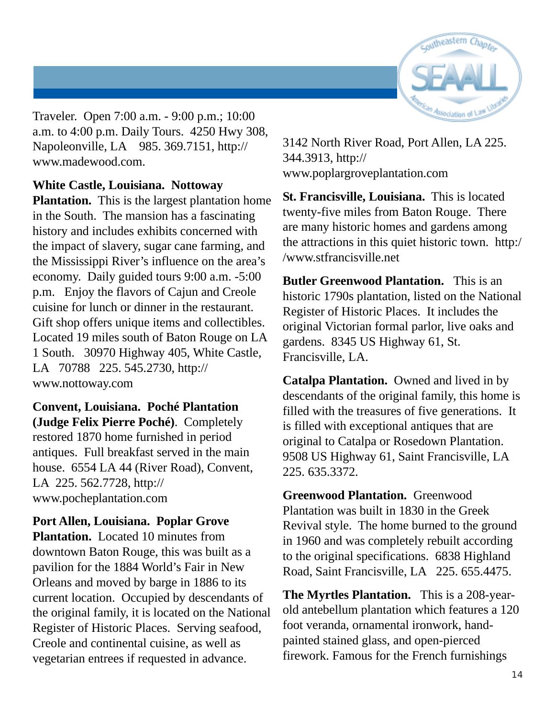

Traveler. Open 7:00 a.m. - 9:00 p.m.; 10:00 a.m. to 4:00 p.m. Daily Tours. 4250 Hwy 308, Napoleonville, LA 985. 369.7151, http:// www.madewood.com.

#### **White Castle, Louisiana. Nottoway**

**Plantation.** This is the largest plantation home in the South. The mansion has a fascinating history and includes exhibits concerned with the impact of slavery, sugar cane farming, and the Mississippi River's influence on the area's economy. Daily guided tours 9:00 a.m. -5:00 p.m. Enjoy the flavors of Cajun and Creole cuisine for lunch or dinner in the restaurant. Gift shop offers unique items and collectibles. Located 19 miles south of Baton Rouge on LA 1 South. 30970 Highway 405, White Castle, LA 70788 225. 545.2730, http:// www.nottoway.com

**Convent, Louisiana. Poché Plantation (Judge Felix Pierre Poché)**. Completely restored 1870 home furnished in period antiques. Full breakfast served in the main house. 6554 LA 44 (River Road), Convent, LA 225. 562.7728, http:// www.pocheplantation.com

**Port Allen, Louisiana. Poplar Grove Plantation.** Located 10 minutes from downtown Baton Rouge, this was built as a pavilion for the 1884 World's Fair in New Orleans and moved by barge in 1886 to its current location. Occupied by descendants of the original family, it is located on the National Register of Historic Places. Serving seafood, Creole and continental cuisine, as well as vegetarian entrees if requested in advance.

3142 North River Road, Port Allen, LA 225. 344.3913, http:// www.poplargroveplantation.com

**St. Francisville, Louisiana.** This is located twenty-five miles from Baton Rouge. There are many historic homes and gardens among the attractions in this quiet historic town. http:/ /www.stfrancisville.net

**Butler Greenwood Plantation.** This is an historic 1790s plantation, listed on the National Register of Historic Places. It includes the original Victorian formal parlor, live oaks and gardens. 8345 US Highway 61, St. Francisville, LA.

**Catalpa Plantation.** Owned and lived in by descendants of the original family, this home is filled with the treasures of five generations. It is filled with exceptional antiques that are original to Catalpa or Rosedown Plantation. 9508 US Highway 61, Saint Francisville, LA 225. 635.3372.

**Greenwood Plantation.** Greenwood Plantation was built in 1830 in the Greek Revival style. The home burned to the ground in 1960 and was completely rebuilt according to the original specifications. 6838 Highland Road, Saint Francisville, LA 225. 655.4475.

**The Myrtles Plantation.** This is a 208-yearold antebellum plantation which features a 120 foot veranda, ornamental ironwork, handpainted stained glass, and open-pierced firework. Famous for the French furnishings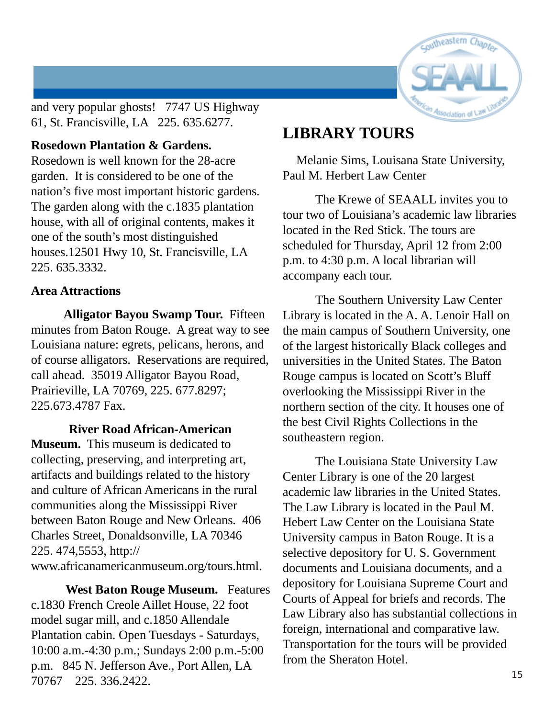

and very popular ghosts! 7747 US Highway 61, St. Francisville, LA 225. 635.6277.

#### **Rosedown Plantation & Gardens.**

Rosedown is well known for the 28-acre garden. It is considered to be one of the nation's five most important historic gardens. The garden along with the c.1835 plantation house, with all of original contents, makes it one of the south's most distinguished houses.12501 Hwy 10, St. Francisville, LA 225. 635.3332.

#### **Area Attractions**

**Alligator Bayou Swamp Tour.** Fifteen minutes from Baton Rouge. A great way to see Louisiana nature: egrets, pelicans, herons, and of course alligators. Reservations are required, call ahead. 35019 Alligator Bayou Road, Prairieville, LA 70769, 225. 677.8297; 225.673.4787 Fax.

#### **River Road African-American**

**Museum.** This museum is dedicated to collecting, preserving, and interpreting art, artifacts and buildings related to the history and culture of African Americans in the rural communities along the Mississippi River between Baton Rouge and New Orleans. 406 Charles Street, Donaldsonville, LA 70346 225. 474,5553, http:// www.africanamericanmuseum.org/tours.html.

 **West Baton Rouge Museum.** Features c.1830 French Creole Aillet House, 22 foot model sugar mill, and c.1850 Allendale Plantation cabin. Open Tuesdays - Saturdays, 10:00 a.m.-4:30 p.m.; Sundays 2:00 p.m.-5:00 p.m. 845 N. Jefferson Ave., Port Allen, LA 70767 225. 336.2422.

### **LIBRARY TOURS**

 Melanie Sims, Louisana State University, Paul M. Herbert Law Center

The Krewe of SEAALL invites you to tour two of Louisiana's academic law libraries located in the Red Stick. The tours are scheduled for Thursday, April 12 from 2:00 p.m. to 4:30 p.m. A local librarian will accompany each tour.

The Southern University Law Center Library is located in the A. A. Lenoir Hall on the main campus of Southern University, one of the largest historically Black colleges and universities in the United States. The Baton Rouge campus is located on Scott's Bluff overlooking the Mississippi River in the northern section of the city. It houses one of the best Civil Rights Collections in the southeastern region.

The Louisiana State University Law Center Library is one of the 20 largest academic law libraries in the United States. The Law Library is located in the Paul M. Hebert Law Center on the Louisiana State University campus in Baton Rouge. It is a selective depository for U. S. Government documents and Louisiana documents, and a depository for Louisiana Supreme Court and Courts of Appeal for briefs and records. The Law Library also has substantial collections in foreign, international and comparative law. Transportation for the tours will be provided from the Sheraton Hotel.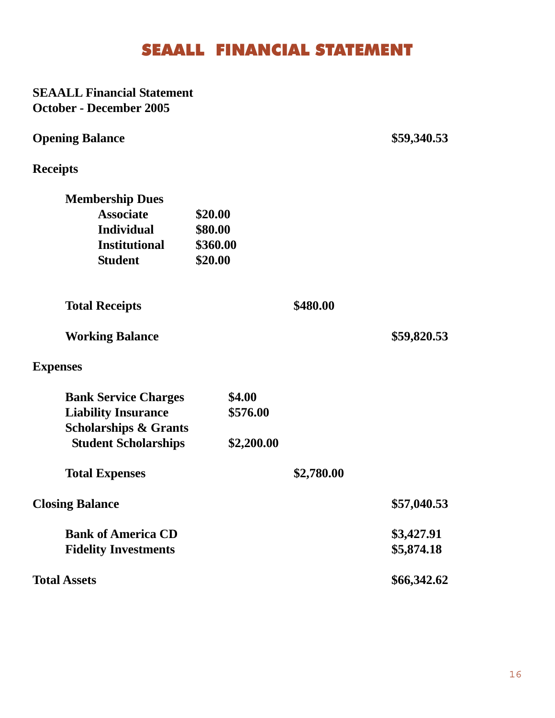# SEAALL FINANCIAL STATEMENT

| <b>SEAALL Financial Statement</b>                                |            |            |             |  |
|------------------------------------------------------------------|------------|------------|-------------|--|
| <b>October - December 2005</b>                                   |            |            |             |  |
| <b>Opening Balance</b>                                           |            |            | \$59,340.53 |  |
| <b>Receipts</b>                                                  |            |            |             |  |
| <b>Membership Dues</b>                                           |            |            |             |  |
| <b>Associate</b>                                                 | \$20.00    |            |             |  |
| <b>Individual</b><br>\$80.00<br><b>Institutional</b><br>\$360.00 |            |            |             |  |
|                                                                  |            |            |             |  |
| <b>Student</b>                                                   | \$20.00    |            |             |  |
| <b>Total Receipts</b>                                            |            | \$480.00   |             |  |
| <b>Working Balance</b>                                           |            |            | \$59,820.53 |  |
| <b>Expenses</b>                                                  |            |            |             |  |
| <b>Bank Service Charges</b>                                      | \$4.00     |            |             |  |
| <b>Liability Insurance</b>                                       | \$576.00   |            |             |  |
| <b>Scholarships &amp; Grants</b>                                 |            |            |             |  |
| <b>Student Scholarships</b>                                      | \$2,200.00 |            |             |  |
| <b>Total Expenses</b>                                            |            | \$2,780.00 |             |  |
| <b>Closing Balance</b>                                           |            |            | \$57,040.53 |  |
| <b>Bank of America CD</b>                                        |            |            | \$3,427.91  |  |
| <b>Fidelity Investments</b>                                      |            |            | \$5,874.18  |  |
| <b>Total Assets</b>                                              |            |            | \$66,342.62 |  |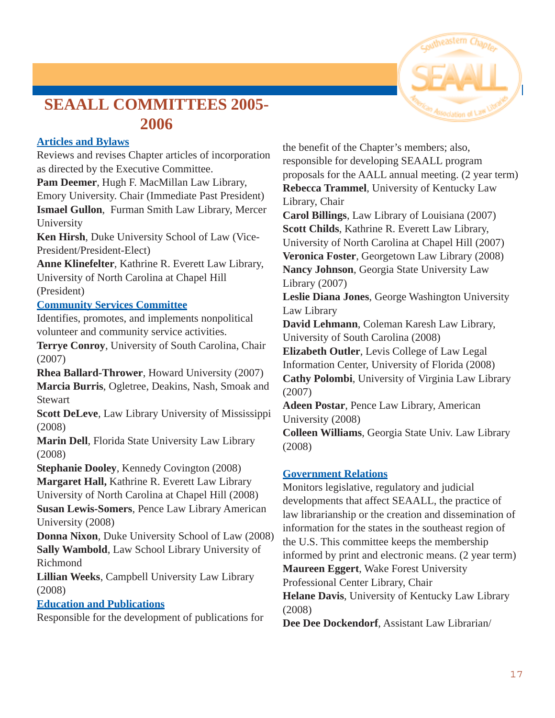

# **SEAALL COMMITTEES 2005- 2006**

#### **Articles and Bylaws**

Reviews and revises Chapter articles of incorporation as directed by the Executive Committee.

**Pam Deemer**, Hugh F. MacMillan Law Library, Emory University. Chair (Immediate Past President) **Ismael Gullon**, Furman Smith Law Library, Mercer University

**Ken Hirsh**, Duke University School of Law (Vice-President/President-Elect)

**Anne Klinefelter**, Kathrine R. Everett Law Library, University of North Carolina at Chapel Hill (President)

#### **Community Services Committee**

Identifies, promotes, and implements nonpolitical volunteer and community service activities.

**Terrye Conroy**, University of South Carolina, Chair (2007)

**Rhea Ballard-Thrower**, Howard University (2007)

**Marcia Burris**, Ogletree, Deakins, Nash, Smoak and **Stewart** 

**Scott DeLeve**, Law Library University of Mississippi (2008)

**Marin Dell**, Florida State University Law Library (2008)

**Stephanie Dooley**, Kennedy Covington (2008) **Margaret Hall,** Kathrine R. Everett Law Library University of North Carolina at Chapel Hill (2008) **Susan Lewis-Somers**, Pence Law Library American University (2008)

**Donna Nixon**, Duke University School of Law (2008) **Sally Wambold**, Law School Library University of Richmond

**Lillian Weeks**, Campbell University Law Library (2008)

#### **Education and Publications**

Responsible for the development of publications for

the benefit of the Chapter's members; also, responsible for developing SEAALL program proposals for the AALL annual meeting. (2 year term) **Rebecca Trammel**, University of Kentucky Law Library, Chair

**Carol Billings**, Law Library of Louisiana (2007) **Scott Childs**, Kathrine R. Everett Law Library, University of North Carolina at Chapel Hill (2007) **Veronica Foster**, Georgetown Law Library (2008) **Nancy Johnson**, Georgia State University Law Library (2007)

**Leslie Diana Jones**, George Washington University Law Library

**David Lehmann**, Coleman Karesh Law Library, University of South Carolina (2008)

**Elizabeth Outler**, Levis College of Law Legal Information Center, University of Florida (2008) **Cathy Polombi**, University of Virginia Law Library (2007)

**Adeen Postar**, Pence Law Library, American University (2008)

**Colleen Williams**, Georgia State Univ. Law Library (2008)

#### **Government Relations**

Monitors legislative, regulatory and judicial developments that affect SEAALL, the practice of law librarianship or the creation and dissemination of information for the states in the southeast region of the U.S. This committee keeps the membership informed by print and electronic means. (2 year term) **Maureen Eggert**, Wake Forest University Professional Center Library, Chair **Helane Davis**, University of Kentucky Law Library (2008) **Dee Dee Dockendorf**, Assistant Law Librarian/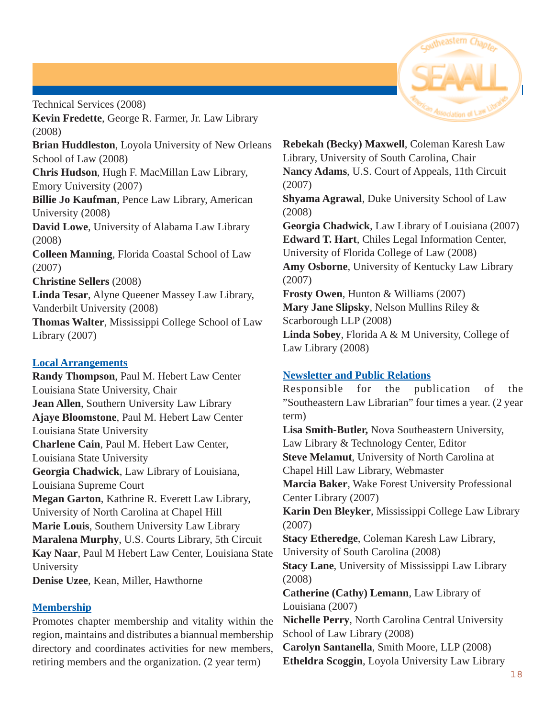

Technical Services (2008) **Kevin Fredette**, George R. Farmer, Jr. Law Library (2008)

**Brian Huddleston**, Loyola University of New Orleans School of Law (2008)

**Chris Hudson**, Hugh F. MacMillan Law Library, Emory University (2007)

**Billie Jo Kaufman**, Pence Law Library, American University (2008)

**David Lowe**, University of Alabama Law Library (2008)

**Colleen Manning**, Florida Coastal School of Law (2007)

**Christine Sellers** (2008)

**Linda Tesar**, Alyne Queener Massey Law Library, Vanderbilt University (2008)

**Thomas Walter**, Mississippi College School of Law Library (2007)

#### **Local Arrangements**

**Randy Thompson**, Paul M. Hebert Law Center Louisiana State University, Chair **Jean Allen**, Southern University Law Library **Ajaye Bloomstone**, Paul M. Hebert Law Center Louisiana State University **Charlene Cain**, Paul M. Hebert Law Center, Louisiana State University **Georgia Chadwick**, Law Library of Louisiana, Louisiana Supreme Court **Megan Garton**, Kathrine R. Everett Law Library, University of North Carolina at Chapel Hill **Marie Louis**, Southern University Law Library **Maralena Murphy**, U.S. Courts Library, 5th Circuit **Kay Naar**, Paul M Hebert Law Center, Louisiana State University **Denise Uzee**, Kean, Miller, Hawthorne

#### **Membership**

Promotes chapter membership and vitality within the region, maintains and distributes a biannual membership directory and coordinates activities for new members, retiring members and the organization. (2 year term)

**Rebekah (Becky) Maxwell**, Coleman Karesh Law Library, University of South Carolina, Chair **Nancy Adams**, U.S. Court of Appeals, 11th Circuit (2007)

**Shyama Agrawal**, Duke University School of Law (2008)

**Georgia Chadwick**, Law Library of Louisiana (2007) **Edward T. Hart**, Chiles Legal Information Center, University of Florida College of Law (2008) **Amy Osborne**, University of Kentucky Law Library (2007)

**Frosty Owen**, Hunton & Williams (2007) **Mary Jane Slipsky**, Nelson Mullins Riley & Scarborough LLP (2008) **Linda Sobey**, Florida A & M University, College of Law Library (2008)

#### **Newsletter and Public Relations**

Responsible for the publication of the "Southeastern Law Librarian" four times a year. (2 year term) **Lisa Smith-Butler,** Nova Southeastern University, Law Library & Technology Center, Editor **Steve Melamut**, University of North Carolina at Chapel Hill Law Library, Webmaster **Marcia Baker**, Wake Forest University Professional Center Library (2007) **Karin Den Bleyker**, Mississippi College Law Library (2007) **Stacy Etheredge**, Coleman Karesh Law Library, University of South Carolina (2008) **Stacy Lane**, University of Mississippi Law Library (2008) **Catherine (Cathy) Lemann**, Law Library of Louisiana (2007) **Nichelle Perry**, North Carolina Central University School of Law Library (2008) **Carolyn Santanella**, Smith Moore, LLP (2008) **Etheldra Scoggin**, Loyola University Law Library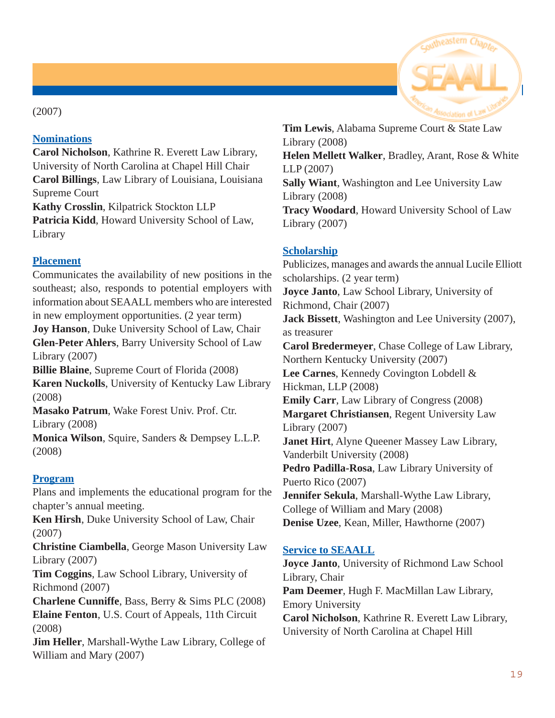#### (2007)

#### **Nominations**

**Carol Nicholson**, Kathrine R. Everett Law Library, University of North Carolina at Chapel Hill Chair **Carol Billings**, Law Library of Louisiana, Louisiana Supreme Court **Kathy Crosslin**, Kilpatrick Stockton LLP

**Patricia Kidd**, Howard University School of Law, Library

#### **Placement**

Communicates the availability of new positions in the southeast; also, responds to potential employers with information about SEAALL members who are interested in new employment opportunities. (2 year term) **Joy Hanson**, Duke University School of Law, Chair **Glen-Peter Ahlers**, Barry University School of Law Library (2007) **Billie Blaine**, Supreme Court of Florida (2008) **Karen Nuckolls**, University of Kentucky Law Library (2008)

**Masako Patrum**, Wake Forest Univ. Prof. Ctr. Library (2008)

**Monica Wilson**, Squire, Sanders & Dempsey L.L.P. (2008)

#### **Program**

Plans and implements the educational program for the chapter's annual meeting.

**Ken Hirsh**, Duke University School of Law, Chair (2007)

**Christine Ciambella**, George Mason University Law Library (2007)

**Tim Coggins**, Law School Library, University of Richmond (2007)

**Charlene Cunniffe**, Bass, Berry & Sims PLC (2008) **Elaine Fenton**, U.S. Court of Appeals, 11th Circuit (2008)

**Jim Heller**, Marshall-Wythe Law Library, College of William and Mary (2007)

**Tim Lewis**, Alabama Supreme Court & State Law Library (2008) **Helen Mellett Walker**, Bradley, Arant, Rose & White LLP (2007) **Sally Wiant**, Washington and Lee University Law Library (2008) **Tracy Woodard**, Howard University School of Law Library (2007)

#### **Scholarship**

Publicizes, manages and awards the annual Lucile Elliott scholarships. (2 year term) **Joyce Janto**, Law School Library, University of Richmond, Chair (2007) **Jack Bissett**, Washington and Lee University (2007), as treasurer **Carol Bredermeyer**, Chase College of Law Library, Northern Kentucky University (2007) **Lee Carnes**, Kennedy Covington Lobdell & Hickman, LLP (2008) **Emily Carr**, Law Library of Congress (2008) **Margaret Christiansen**, Regent University Law Library (2007) **Janet Hirt**, Alyne Queener Massey Law Library, Vanderbilt University (2008) **Pedro Padilla-Rosa**, Law Library University of Puerto Rico (2007) **Jennifer Sekula**, Marshall-Wythe Law Library, College of William and Mary (2008) **Denise Uzee**, Kean, Miller, Hawthorne (2007)

#### **Service to SEAALL**

**Joyce Janto**, University of Richmond Law School Library, Chair **Pam Deemer**, Hugh F. MacMillan Law Library, Emory University **Carol Nicholson**, Kathrine R. Everett Law Library, University of North Carolina at Chapel Hill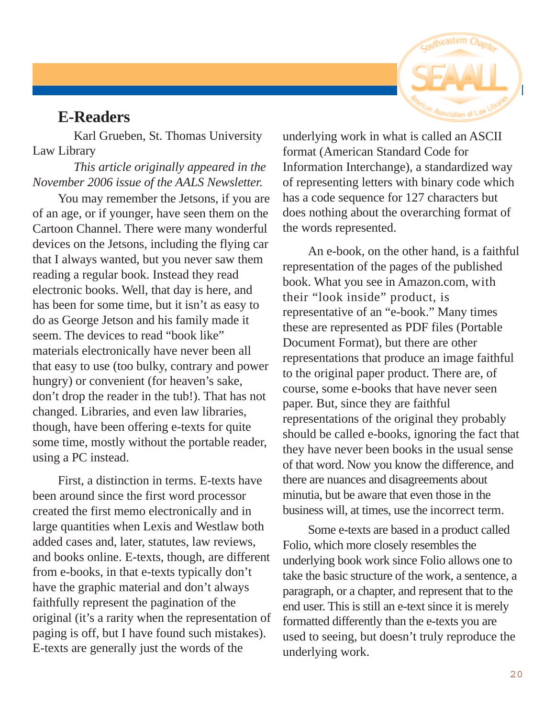

#### **E-Readers**

 Karl Grueben, St. Thomas University Law Library

 *This article originally appeared in the November 2006 issue of the AALS Newsletter.*

You may remember the Jetsons, if you are of an age, or if younger, have seen them on the Cartoon Channel. There were many wonderful devices on the Jetsons, including the flying car that I always wanted, but you never saw them reading a regular book. Instead they read electronic books. Well, that day is here, and has been for some time, but it isn't as easy to do as George Jetson and his family made it seem. The devices to read "book like" materials electronically have never been all that easy to use (too bulky, contrary and power hungry) or convenient (for heaven's sake, don't drop the reader in the tub!). That has not changed. Libraries, and even law libraries, though, have been offering e-texts for quite some time, mostly without the portable reader, using a PC instead.

First, a distinction in terms. E-texts have been around since the first word processor created the first memo electronically and in large quantities when Lexis and Westlaw both added cases and, later, statutes, law reviews, and books online. E-texts, though, are different from e-books, in that e-texts typically don't have the graphic material and don't always faithfully represent the pagination of the original (it's a rarity when the representation of paging is off, but I have found such mistakes). E-texts are generally just the words of the

underlying work in what is called an ASCII format (American Standard Code for Information Interchange), a standardized way of representing letters with binary code which has a code sequence for 127 characters but does nothing about the overarching format of the words represented.

An e-book, on the other hand, is a faithful representation of the pages of the published book. What you see in Amazon.com, with their "look inside" product, is representative of an "e-book." Many times these are represented as PDF files (Portable Document Format), but there are other representations that produce an image faithful to the original paper product. There are, of course, some e-books that have never seen paper. But, since they are faithful representations of the original they probably should be called e-books, ignoring the fact that they have never been books in the usual sense of that word. Now you know the difference, and there are nuances and disagreements about minutia, but be aware that even those in the business will, at times, use the incorrect term.

Some e-texts are based in a product called Folio, which more closely resembles the underlying book work since Folio allows one to take the basic structure of the work, a sentence, a paragraph, or a chapter, and represent that to the end user. This is still an e-text since it is merely formatted differently than the e-texts you are used to seeing, but doesn't truly reproduce the underlying work.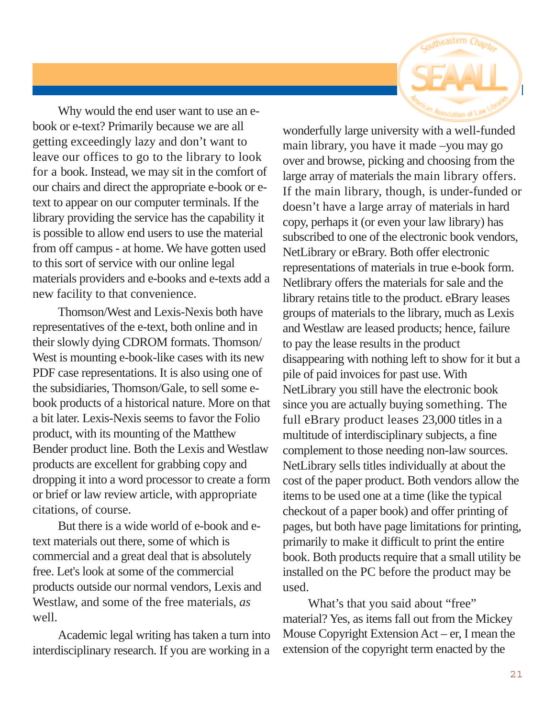

Why would the end user want to use an ebook or e-text? Primarily because we are all getting exceedingly lazy and don't want to leave our offices to go to the library to look for a book. Instead, we may sit in the comfort of our chairs and direct the appropriate e-book or etext to appear on our computer terminals. If the library providing the service has the capability it is possible to allow end users to use the material from off campus - at home. We have gotten used to this sort of service with our online legal materials providers and e-books and e-texts add a new facility to that convenience.

Thomson/West and Lexis-Nexis both have representatives of the e-text, both online and in their slowly dying CDROM formats. Thomson/ West is mounting e-book-like cases with its new PDF case representations. It is also using one of the subsidiaries, Thomson/Gale, to sell some ebook products of a historical nature. More on that a bit later. Lexis-Nexis seems to favor the Folio product, with its mounting of the Matthew Bender product line. Both the Lexis and Westlaw products are excellent for grabbing copy and dropping it into a word processor to create a form or brief or law review article, with appropriate citations, of course.

But there is a wide world of e-book and etext materials out there, some of which is commercial and a great deal that is absolutely free. Let's look at some of the commercial products outside our normal vendors, Lexis and Westlaw, and some of the free materials, *as* well.

Academic legal writing has taken a turn into interdisciplinary research. If you are working in a wonderfully large university with a well-funded main library, you have it made –you may go over and browse, picking and choosing from the large array of materials the main library offers. If the main library, though, is under-funded or doesn't have a large array of materials in hard copy, perhaps it (or even your law library) has subscribed to one of the electronic book vendors, NetLibrary or eBrary. Both offer electronic representations of materials in true e-book form. Netlibrary offers the materials for sale and the library retains title to the product. eBrary leases groups of materials to the library, much as Lexis and Westlaw are leased products; hence, failure to pay the lease results in the product disappearing with nothing left to show for it but a pile of paid invoices for past use. With NetLibrary you still have the electronic book since you are actually buying something. The full eBrary product leases 23,000 titles in a multitude of interdisciplinary subjects, a fine complement to those needing non-law sources. NetLibrary sells titles individually at about the cost of the paper product. Both vendors allow the items to be used one at a time (like the typical checkout of a paper book) and offer printing of pages, but both have page limitations for printing, primarily to make it difficult to print the entire book. Both products require that a small utility be installed on the PC before the product may be used.

What's that you said about "free" material? Yes, as items fall out from the Mickey Mouse Copyright Extension Act – er, I mean the extension of the copyright term enacted by the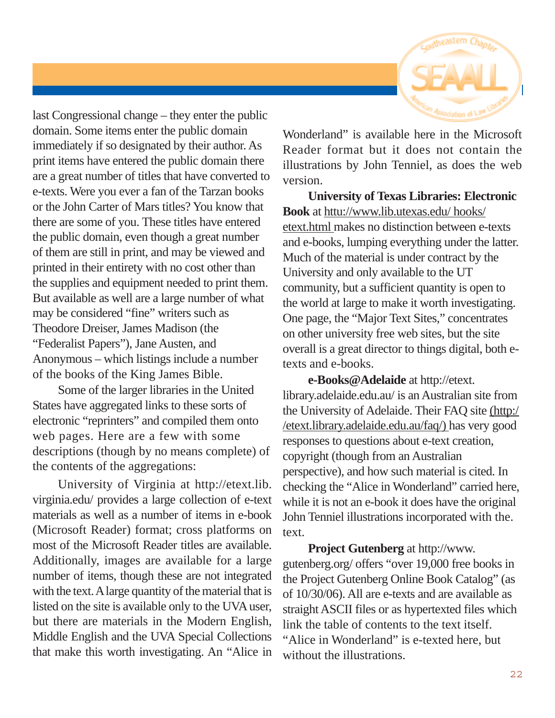

last Congressional change – they enter the public domain. Some items enter the public domain immediately if so designated by their author. As print items have entered the public domain there are a great number of titles that have converted to e-texts. Were you ever a fan of the Tarzan books or the John Carter of Mars titles? You know that there are some of you. These titles have entered the public domain, even though a great number of them are still in print, and may be viewed and printed in their entirety with no cost other than the supplies and equipment needed to print them. But available as well are a large number of what may be considered "fine" writers such as Theodore Dreiser, James Madison (the "Federalist Papers"), Jane Austen, and Anonymous – which listings include a number of the books of the King James Bible.

Some of the larger libraries in the United States have aggregated links to these sorts of electronic "reprinters" and compiled them onto web pages. Here are a few with some descriptions (though by no means complete) of the contents of the aggregations:

University of Virginia at http://etext.lib. virginia.edu/ provides a large collection of e-text materials as well as a number of items in e-book (Microsoft Reader) format; cross platforms on most of the Microsoft Reader titles are available. Additionally, images are available for a large number of items, though these are not integrated with the text. A large quantity of the material that is listed on the site is available only to the UVA user, but there are materials in the Modern English, Middle English and the UVA Special Collections that make this worth investigating. An "Alice in Wonderland" is available here in the Microsoft Reader format but it does not contain the illustrations by John Tenniel, as does the web version.

**University of Texas Libraries: Electronic Book** at httu://www.lib.utexas.edu/ hooks/ etext.html makes no distinction between e-texts and e-books, lumping everything under the latter. Much of the material is under contract by the University and only available to the UT community, but a sufficient quantity is open to the world at large to make it worth investigating. One page, the "Major Text Sites," concentrates on other university free web sites, but the site overall is a great director to things digital, both etexts and e-books.

**e-Books@Adelaide** at http://etext. library.adelaide.edu.au/ is an Australian site from the University of Adelaide. Their FAQ site (http:/ /etext.library.adelaide.edu.au/faq/) has very good responses to questions about e-text creation, copyright (though from an Australian perspective), and how such material is cited. In checking the "Alice in Wonderland" carried here, while it is not an e-book it does have the original John Tenniel illustrations incorporated with the. text.

**Project Gutenberg** at http://www. gutenberg.org/ offers "over 19,000 free books in the Project Gutenberg Online Book Catalog" (as of 10/30/06). All are e-texts and are available as straight ASCII files or as hypertexted files which link the table of contents to the text itself. "Alice in Wonderland" is e-texted here, but without the illustrations.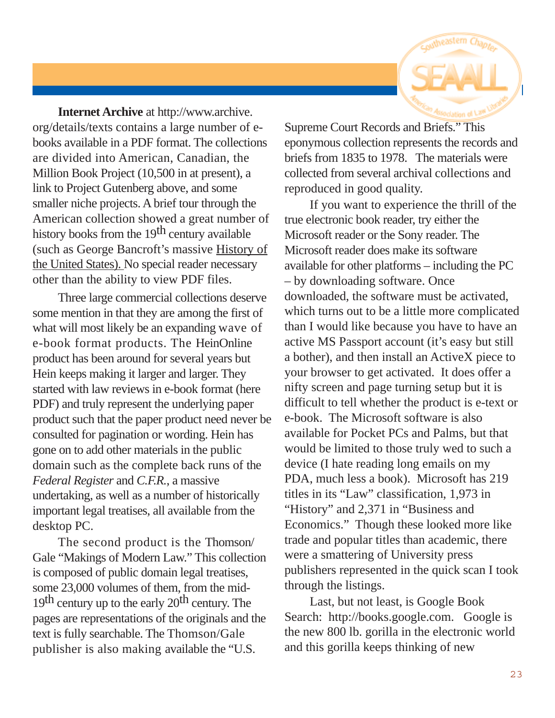

**Internet Archive** at http://www.archive. org/details/texts contains a large number of ebooks available in a PDF format. The collections are divided into American, Canadian, the Million Book Project (10,500 in at present), a link to Project Gutenberg above, and some smaller niche projects. A brief tour through the American collection showed a great number of history books from the 19<sup>th</sup> century available (such as George Bancroft's massive History of the United States). No special reader necessary other than the ability to view PDF files.

Three large commercial collections deserve some mention in that they are among the first of what will most likely be an expanding wave of e-book format products. The HeinOnline product has been around for several years but Hein keeps making it larger and larger. They started with law reviews in e-book format (here PDF) and truly represent the underlying paper product such that the paper product need never be consulted for pagination or wording. Hein has gone on to add other materials in the public domain such as the complete back runs of the *Federal Register* and *C.F.R.*, a massive undertaking, as well as a number of historically important legal treatises, all available from the desktop PC.

The second product is the Thomson/ Gale "Makings of Modern Law." This collection is composed of public domain legal treatises, some 23,000 volumes of them, from the mid-19<sup>th</sup> century up to the early 20<sup>th</sup> century. The pages are representations of the originals and the text is fully searchable. The Thomson/Gale publisher is also making available the "U.S.

Supreme Court Records and Briefs." This eponymous collection represents the records and briefs from 1835 to 1978. The materials were collected from several archival collections and reproduced in good quality.

If you want to experience the thrill of the true electronic book reader, try either the Microsoft reader or the Sony reader. The Microsoft reader does make its software available for other platforms – including the PC – by downloading software. Once downloaded, the software must be activated, which turns out to be a little more complicated than I would like because you have to have an active MS Passport account (it's easy but still a bother), and then install an ActiveX piece to your browser to get activated. It does offer a nifty screen and page turning setup but it is difficult to tell whether the product is e-text or e-book. The Microsoft software is also available for Pocket PCs and Palms, but that would be limited to those truly wed to such a device (I hate reading long emails on my PDA, much less a book). Microsoft has 219 titles in its "Law" classification, 1,973 in "History" and 2,371 in "Business and Economics." Though these looked more like trade and popular titles than academic, there were a smattering of University press publishers represented in the quick scan I took through the listings.

Last, but not least, is Google Book Search: http://books.google.com. Google is the new 800 lb. gorilla in the electronic world and this gorilla keeps thinking of new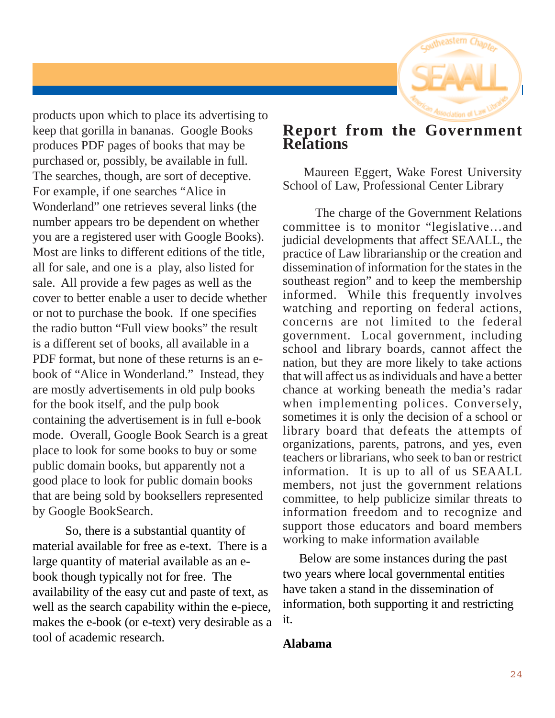

products upon which to place its advertising to keep that gorilla in bananas. Google Books produces PDF pages of books that may be purchased or, possibly, be available in full. The searches, though, are sort of deceptive. For example, if one searches "Alice in Wonderland" one retrieves several links (the number appears tro be dependent on whether you are a registered user with Google Books). Most are links to different editions of the title, all for sale, and one is a play, also listed for sale. All provide a few pages as well as the cover to better enable a user to decide whether or not to purchase the book. If one specifies the radio button "Full view books" the result is a different set of books, all available in a PDF format, but none of these returns is an ebook of "Alice in Wonderland." Instead, they are mostly advertisements in old pulp books for the book itself, and the pulp book containing the advertisement is in full e-book mode. Overall, Google Book Search is a great place to look for some books to buy or some public domain books, but apparently not a good place to look for public domain books that are being sold by booksellers represented by Google BookSearch.

So, there is a substantial quantity of material available for free as e-text. There is a large quantity of material available as an ebook though typically not for free. The availability of the easy cut and paste of text, as well as the search capability within the e-piece, makes the e-book (or e-text) very desirable as a tool of academic research.

#### **Report from the Government Relations**

 Maureen Eggert, Wake Forest University School of Law, Professional Center Library

The charge of the Government Relations committee is to monitor "legislative…and judicial developments that affect SEAALL, the practice of Law librarianship or the creation and dissemination of information for the states in the southeast region" and to keep the membership informed. While this frequently involves watching and reporting on federal actions, concerns are not limited to the federal government. Local government, including school and library boards, cannot affect the nation, but they are more likely to take actions that will affect us as individuals and have a better chance at working beneath the media's radar when implementing polices. Conversely, sometimes it is only the decision of a school or library board that defeats the attempts of organizations, parents, patrons, and yes, even teachers or librarians, who seek to ban or restrict information. It is up to all of us SEAALL members, not just the government relations committee, to help publicize similar threats to information freedom and to recognize and support those educators and board members working to make information available

Below are some instances during the past two years where local governmental entities have taken a stand in the dissemination of information, both supporting it and restricting it.

#### **Alabama**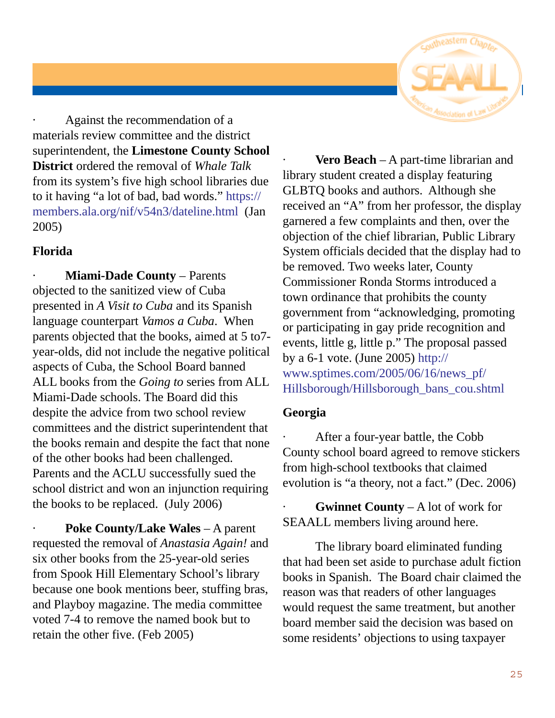

Against the recommendation of a materials review committee and the district superintendent, the **Limestone County School District** ordered the removal of *Whale Talk* from its system's five high school libraries due to it having "a lot of bad, bad words." https:// members.ala.org/nif/v54n3/dateline.html (Jan 2005)

#### **Florida**

**Miami-Dade County – Parents** objected to the sanitized view of Cuba presented in *A Visit to Cuba* and its Spanish language counterpart *Vamos a Cuba*. When parents objected that the books, aimed at 5 to7 year-olds, did not include the negative political aspects of Cuba, the School Board banned ALL books from the *Going to* series from ALL Miami-Dade schools. The Board did this despite the advice from two school review committees and the district superintendent that the books remain and despite the fact that none of the other books had been challenged. Parents and the ACLU successfully sued the school district and won an injunction requiring the books to be replaced. (July 2006)

Poke County/Lake Wales – A parent requested the removal of *Anastasia Again!* and six other books from the 25-year-old series from Spook Hill Elementary School's library because one book mentions beer, stuffing bras, and Playboy magazine. The media committee voted 7-4 to remove the named book but to retain the other five. (Feb 2005)

**Vero Beach** – A part-time librarian and library student created a display featuring GLBTQ books and authors. Although she received an "A" from her professor, the display garnered a few complaints and then, over the objection of the chief librarian, Public Library System officials decided that the display had to be removed. Two weeks later, County Commissioner Ronda Storms introduced a town ordinance that prohibits the county government from "acknowledging, promoting or participating in gay pride recognition and events, little g, little p." The proposal passed by a 6-1 vote. (June 2005) http:// www.sptimes.com/2005/06/16/news\_pf/ Hillsborough/Hillsborough\_bans\_cou.shtml

#### **Georgia**

After a four-year battle, the Cobb County school board agreed to remove stickers from high-school textbooks that claimed evolution is "a theory, not a fact." (Dec. 2006)

**Gwinnet County** – A lot of work for SEAALL members living around here.

The library board eliminated funding that had been set aside to purchase adult fiction books in Spanish. The Board chair claimed the reason was that readers of other languages would request the same treatment, but another board member said the decision was based on some residents' objections to using taxpayer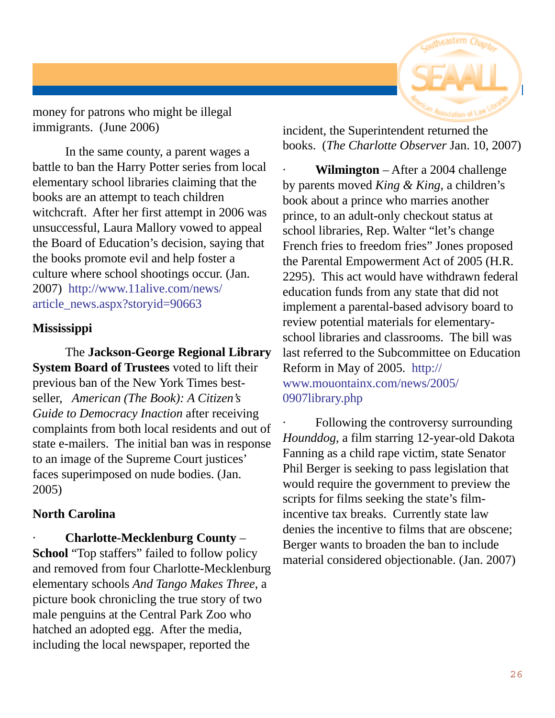

money for patrons who might be illegal immigrants. (June 2006)

In the same county, a parent wages a battle to ban the Harry Potter series from local elementary school libraries claiming that the books are an attempt to teach children witchcraft. After her first attempt in 2006 was unsuccessful, Laura Mallory vowed to appeal the Board of Education's decision, saying that the books promote evil and help foster a culture where school shootings occur. (Jan. 2007) http://www.11alive.com/news/ article\_news.aspx?storyid=90663

#### **Mississippi**

The **Jackson-George Regional Library System Board of Trustees** voted to lift their previous ban of the New York Times bestseller, *American (The Book): A Citizen's Guide to Democracy Inaction* after receiving complaints from both local residents and out of state e-mailers. The initial ban was in response to an image of the Supreme Court justices' faces superimposed on nude bodies. (Jan. 2005)

#### **North Carolina**

· **Charlotte-Mecklenburg County** – **School** "Top staffers" failed to follow policy and removed from four Charlotte-Mecklenburg elementary schools *And Tango Makes Three*, a picture book chronicling the true story of two male penguins at the Central Park Zoo who hatched an adopted egg. After the media, including the local newspaper, reported the

incident, the Superintendent returned the books. (*The Charlotte Observer* Jan. 10, 2007)

**Wilmington** – After a 2004 challenge by parents moved *King & King*, a children's book about a prince who marries another prince, to an adult-only checkout status at school libraries, Rep. Walter "let's change French fries to freedom fries" Jones proposed the Parental Empowerment Act of 2005 (H.R. 2295). This act would have withdrawn federal education funds from any state that did not implement a parental-based advisory board to review potential materials for elementaryschool libraries and classrooms. The bill was last referred to the Subcommittee on Education Reform in May of 2005. http:// www.mouontainx.com/news/2005/ 0907library.php

Following the controversy surrounding *Hounddog*, a film starring 12-year-old Dakota Fanning as a child rape victim, state Senator Phil Berger is seeking to pass legislation that would require the government to preview the scripts for films seeking the state's filmincentive tax breaks. Currently state law denies the incentive to films that are obscene; Berger wants to broaden the ban to include material considered objectionable. (Jan. 2007)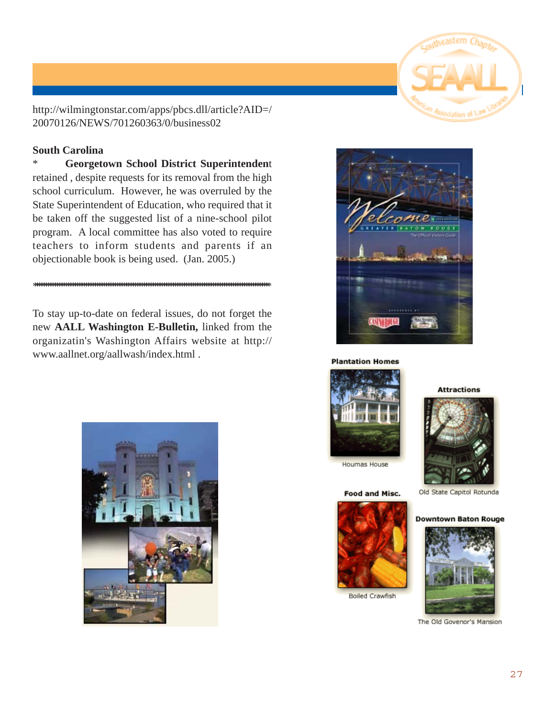

http://wilmingtonstar.com/apps/pbcs.dll/article?AID=/ 20070126/NEWS/701260363/0/business02

#### **South Carolina**

\* **Georgetown School District Superintenden**t retained , despite requests for its removal from the high school curriculum. However, he was overruled by the State Superintendent of Education, who required that it be taken off the suggested list of a nine-school pilot program. A local committee has also voted to require teachers to inform students and parents if an objectionable book is being used. (Jan. 2005.)

#### \*\*\*\*\*\*\*\*\*\*\*\*\*\*\*\*\*\*\*\*\*\*\*\*\*\*\*\*\*\*\*\*\*\*\*\*\*\*\*\*\*\*\*\*\*\*\*\*\*\*\*\*\*\*\*\*\*\*\*\*\*\*\*\*\*\*\*\*\*\*\*\*\*\*\*\*\*\*\*\*\*\*\*\*\*\*\*\*\*\*\*\*\*\*\*\*\*\*\*\*\*\*\*\*\*\*

To stay up-to-date on federal issues, do not forget the new **AALL Washington E-Bulletin,** linked from the organizatin's Washington Affairs website at http:// www.aallnet.org/aallwash/index.html .



#### **Plantation Homes**







Houmas House

#### **Food and Misc.**



**Boiled Crawfish** 

Old State Capitol Rotunda

#### **Downtown Baton Rouge**



The Old Govenor's Mansion

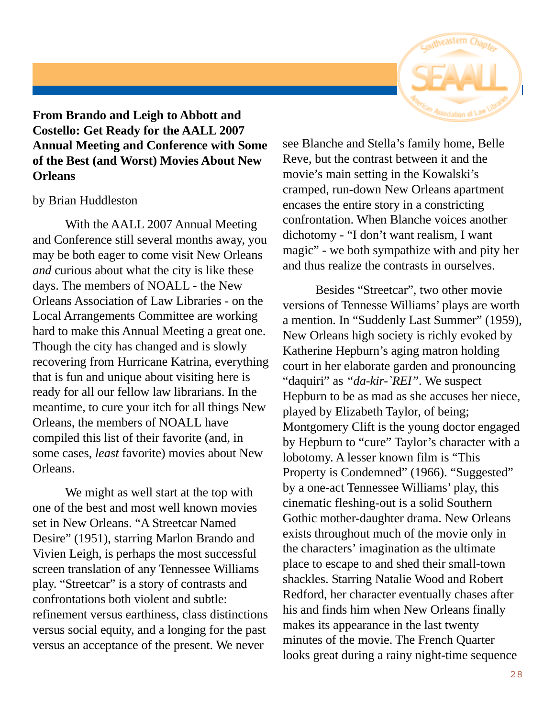

**From Brando and Leigh to Abbott and Costello: Get Ready for the AALL 2007 Annual Meeting and Conference with Some of the Best (and Worst) Movies About New Orleans**

#### by Brian Huddleston

With the AALL 2007 Annual Meeting and Conference still several months away, you may be both eager to come visit New Orleans *and* curious about what the city is like these days. The members of NOALL - the New Orleans Association of Law Libraries - on the Local Arrangements Committee are working hard to make this Annual Meeting a great one. Though the city has changed and is slowly recovering from Hurricane Katrina, everything that is fun and unique about visiting here is ready for all our fellow law librarians. In the meantime, to cure your itch for all things New Orleans, the members of NOALL have compiled this list of their favorite (and, in some cases, *least* favorite) movies about New Orleans.

We might as well start at the top with one of the best and most well known movies set in New Orleans. "A Streetcar Named Desire" (1951), starring Marlon Brando and Vivien Leigh, is perhaps the most successful screen translation of any Tennessee Williams play. "Streetcar" is a story of contrasts and confrontations both violent and subtle: refinement versus earthiness, class distinctions versus social equity, and a longing for the past versus an acceptance of the present. We never

see Blanche and Stella's family home, Belle Reve, but the contrast between it and the movie's main setting in the Kowalski's cramped, run-down New Orleans apartment encases the entire story in a constricting confrontation. When Blanche voices another dichotomy - "I don't want realism, I want magic" - we both sympathize with and pity her and thus realize the contrasts in ourselves.

Besides "Streetcar", two other movie versions of Tennesse Williams' plays are worth a mention. In "Suddenly Last Summer" (1959), New Orleans high society is richly evoked by Katherine Hepburn's aging matron holding court in her elaborate garden and pronouncing "daquiri" as *"da-kir-`REI"*. We suspect Hepburn to be as mad as she accuses her niece, played by Elizabeth Taylor, of being; Montgomery Clift is the young doctor engaged by Hepburn to "cure" Taylor's character with a lobotomy. A lesser known film is "This Property is Condemned" (1966). "Suggested" by a one-act Tennessee Williams' play, this cinematic fleshing-out is a solid Southern Gothic mother-daughter drama. New Orleans exists throughout much of the movie only in the characters' imagination as the ultimate place to escape to and shed their small-town shackles. Starring Natalie Wood and Robert Redford, her character eventually chases after his and finds him when New Orleans finally makes its appearance in the last twenty minutes of the movie. The French Quarter looks great during a rainy night-time sequence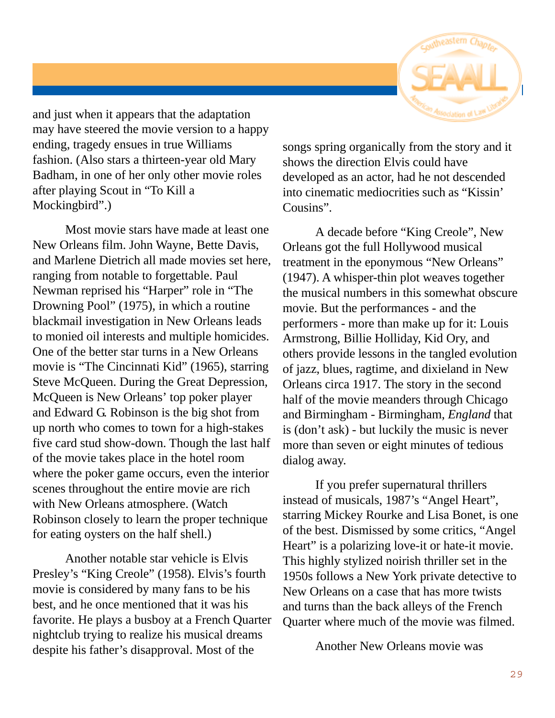

and just when it appears that the adaptation may have steered the movie version to a happy ending, tragedy ensues in true Williams fashion. (Also stars a thirteen-year old Mary Badham, in one of her only other movie roles after playing Scout in "To Kill a Mockingbird".)

Most movie stars have made at least one New Orleans film. John Wayne, Bette Davis, and Marlene Dietrich all made movies set here, ranging from notable to forgettable. Paul Newman reprised his "Harper" role in "The Drowning Pool" (1975), in which a routine blackmail investigation in New Orleans leads to monied oil interests and multiple homicides. One of the better star turns in a New Orleans movie is "The Cincinnati Kid" (1965), starring Steve McQueen. During the Great Depression, McQueen is New Orleans' top poker player and Edward G. Robinson is the big shot from up north who comes to town for a high-stakes five card stud show-down. Though the last half of the movie takes place in the hotel room where the poker game occurs, even the interior scenes throughout the entire movie are rich with New Orleans atmosphere. (Watch Robinson closely to learn the proper technique for eating oysters on the half shell.)

Another notable star vehicle is Elvis Presley's "King Creole" (1958). Elvis's fourth movie is considered by many fans to be his best, and he once mentioned that it was his favorite. He plays a busboy at a French Quarter nightclub trying to realize his musical dreams despite his father's disapproval. Most of the

songs spring organically from the story and it shows the direction Elvis could have developed as an actor, had he not descended into cinematic mediocrities such as "Kissin' Cousins".

A decade before "King Creole", New Orleans got the full Hollywood musical treatment in the eponymous "New Orleans" (1947). A whisper-thin plot weaves together the musical numbers in this somewhat obscure movie. But the performances - and the performers - more than make up for it: Louis Armstrong, Billie Holliday, Kid Ory, and others provide lessons in the tangled evolution of jazz, blues, ragtime, and dixieland in New Orleans circa 1917. The story in the second half of the movie meanders through Chicago and Birmingham - Birmingham, *England* that is (don't ask) - but luckily the music is never more than seven or eight minutes of tedious dialog away.

If you prefer supernatural thrillers instead of musicals, 1987's "Angel Heart", starring Mickey Rourke and Lisa Bonet, is one of the best. Dismissed by some critics, "Angel Heart" is a polarizing love-it or hate-it movie. This highly stylized noirish thriller set in the 1950s follows a New York private detective to New Orleans on a case that has more twists and turns than the back alleys of the French Quarter where much of the movie was filmed.

Another New Orleans movie was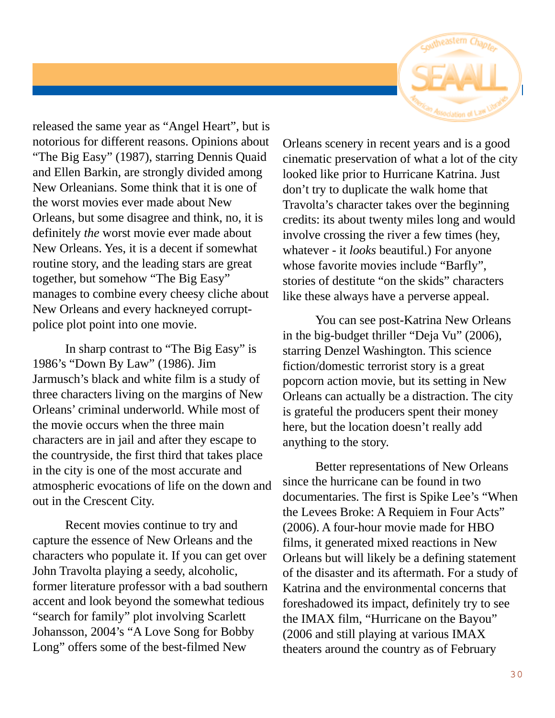

released the same year as "Angel Heart", but is notorious for different reasons. Opinions about "The Big Easy" (1987), starring Dennis Quaid and Ellen Barkin, are strongly divided among New Orleanians. Some think that it is one of the worst movies ever made about New Orleans, but some disagree and think, no, it is definitely *the* worst movie ever made about New Orleans. Yes, it is a decent if somewhat routine story, and the leading stars are great together, but somehow "The Big Easy" manages to combine every cheesy cliche about New Orleans and every hackneyed corruptpolice plot point into one movie.

In sharp contrast to "The Big Easy" is 1986's "Down By Law" (1986). Jim Jarmusch's black and white film is a study of three characters living on the margins of New Orleans' criminal underworld. While most of the movie occurs when the three main characters are in jail and after they escape to the countryside, the first third that takes place in the city is one of the most accurate and atmospheric evocations of life on the down and out in the Crescent City.

Recent movies continue to try and capture the essence of New Orleans and the characters who populate it. If you can get over John Travolta playing a seedy, alcoholic, former literature professor with a bad southern accent and look beyond the somewhat tedious "search for family" plot involving Scarlett Johansson, 2004's "A Love Song for Bobby Long" offers some of the best-filmed New

Orleans scenery in recent years and is a good cinematic preservation of what a lot of the city looked like prior to Hurricane Katrina. Just don't try to duplicate the walk home that Travolta's character takes over the beginning credits: its about twenty miles long and would involve crossing the river a few times (hey, whatever - it *looks* beautiful.) For anyone whose favorite movies include "Barfly", stories of destitute "on the skids" characters like these always have a perverse appeal.

You can see post-Katrina New Orleans in the big-budget thriller "Deja Vu" (2006), starring Denzel Washington. This science fiction/domestic terrorist story is a great popcorn action movie, but its setting in New Orleans can actually be a distraction. The city is grateful the producers spent their money here, but the location doesn't really add anything to the story.

Better representations of New Orleans since the hurricane can be found in two documentaries. The first is Spike Lee's "When the Levees Broke: A Requiem in Four Acts" (2006). A four-hour movie made for HBO films, it generated mixed reactions in New Orleans but will likely be a defining statement of the disaster and its aftermath. For a study of Katrina and the environmental concerns that foreshadowed its impact, definitely try to see the IMAX film, "Hurricane on the Bayou" (2006 and still playing at various IMAX theaters around the country as of February